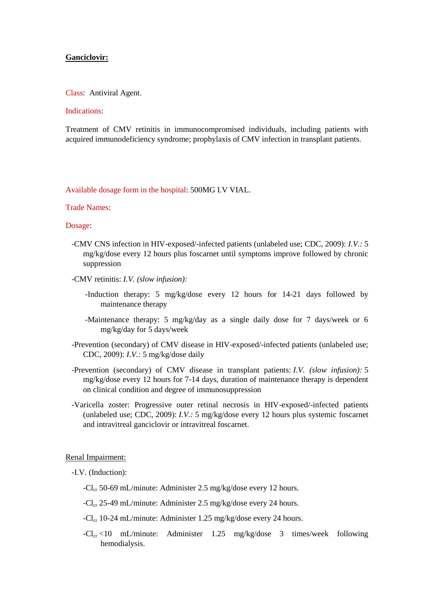## **Ganciclovir:**

Class: Antiviral Agent.

# Indications:

Treatment of CMV retinitis in immunocompromised individuals, including patients with acquired immunodeficiency syndrome; prophylaxis of CMV infection in transplant patients.

Available dosage form in the hospital: 500MG I.V VIAL.

# Trade Names:

### Dosage:

- -CMV CNS infection in HIV-exposed/-infected patients (unlabeled use; CDC, 2009): *I.V.:* 5 mg/kg/dose every 12 hours plus foscarnet until symptoms improve followed by chronic suppression
- -CMV retinitis: *I.V. (slow infusion):*
	- -Induction therapy: 5 mg/kg/dose every 12 hours for 14-21 days followed by maintenance therapy
	- -Maintenance therapy: 5 mg/kg/day as a single daily dose for 7 days/week or 6 mg/kg/day for 5 days/week
- -Prevention (secondary) of CMV disease in HIV-exposed/-infected patients (unlabeled use; CDC, 2009): *I.V.:* 5 mg/kg/dose daily
- -Prevention (secondary) of CMV disease in transplant patients: *I.V. (slow infusion):* 5 mg/kg/dose every 12 hours for 7-14 days, duration of maintenance therapy is dependent on clinical condition and degree of immunosuppression
- -Varicella zoster: Progressive outer retinal necrosis in HIV-exposed/-infected patients (unlabeled use; CDC, 2009): *I.V.:* 5 mg/kg/dose every 12 hours plus systemic foscarnet and intravitreal ganciclovir or intravitreal foscarnet.

#### Renal Impairment:

-I.V. (Induction):

- -Cl<sub>cr</sub> 50-69 mL/minute: Administer 2.5 mg/kg/dose every 12 hours.
- -Cl<sub>cr</sub> 25-49 mL/minute: Administer 2.5 mg/kg/dose every 24 hours.
- -Cl<sub>cr</sub> 10-24 mL/minute: Administer 1.25 mg/kg/dose every 24 hours.
- $-Cl_{cr} < 10$  mL/minute: Administer 1.25 mg/kg/dose 3 times/week following hemodialysis.